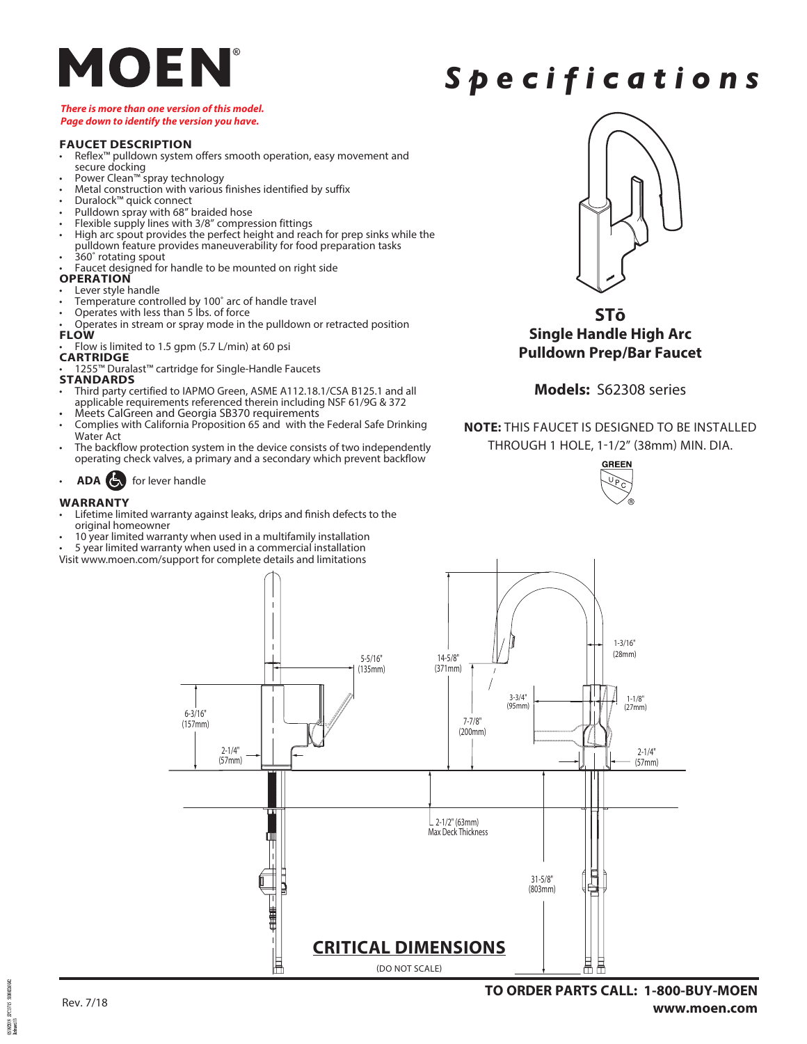

## *Specifications*

### *There is more than one version of this model. Page down to identify the version you have.*

### **FAUCET DESCRIPTION**

- Reflex™ pulldown system offers smooth operation, easy movement and secure docking
- 
- 
- 
- 
- 
- Power Clean<sup>78</sup> spray technology<br>
Metal construction with various finishes identified by suffix<br>
Duralock<sup>78</sup> quick connect<br>
Pulldown spray with 68" braided hose<br>
Flexible supply lines with 3/8" compression fittings<br>
High pulldown feature provides maneuverability for food preparation tasks<br>
• 360° rotating spout<br>
• Faucet designed for handle to be mounted on right side<br> **OPERATION**
- 

- 
- 
- Fever style handle<br>• Temperature controlled by 100° arc of handle travel<br>• Operates with less than 5 lbs. of force<br>• Operates in stream or spray mode in the pulldown or retracted position
- **FLOW**
- Flow is limited to 1.5 gpm (5.7 L/min) at 60 psi

## **CARTRIDGE**

- 1255™ Duralast™ cartridge for Single-Handle Faucets **STANDARDS**
- Third party certified to IAPMO Green, ASME A112.18.1/CSA B125.1 and all applicable requirements referenced therein including NSF 61/9G & 372 Meets CalGreen and Georgia SB370 requirements
- 
- Complies with California Proposition 65 and with the Federal Safe Drinking Water Act
- The backflow protection system in the device consists of two independently operating check valves, a primary and a secondary which prevent backflow
- **ADA** for lever handle

### **WARRANTY**

- Lifetime limited warranty against leaks, drips and finish defects to the
- original homeowner
- 10 year limited warranty when used in a multifamily installation
- 5 year limited warranty when used in a commercial installation

Visit www.moen.com/support for complete details and limitations



**STō Single Handle High Arc Pulldown Prep/Bar Faucet** 

### **Models:** S62308 series

**NOTE:** THIS FAUCET IS DESIGNED TO BE INSTALLED THROUGH 1 HOLE, 1-1/2" (38mm) MIN. DIA.